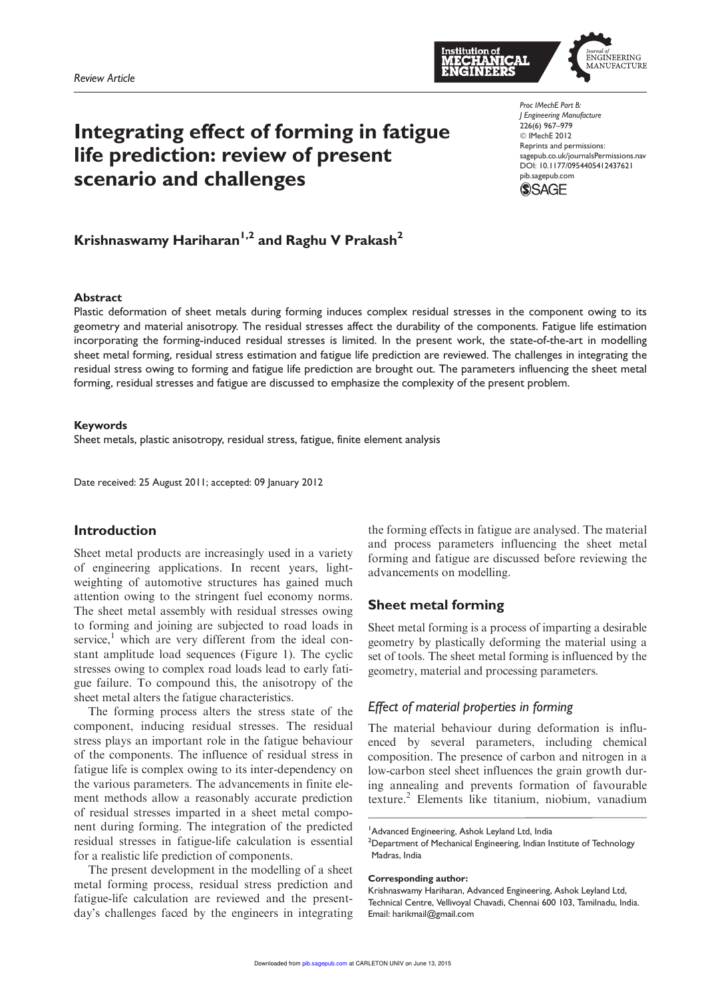

# Integrating effect of forming in fatigue life prediction: review of present scenario and challenges

*Proc IMechE Part B: J Engineering Manufacture* 226(6) 967–979 © IMechE 2012 Reprints and permissions: sagepub.co.uk/journalsPermissions.nav DOI: 10.1177/0954405412437621 pib.sagepub.com



## Krishnaswamy Hariharan<sup>1,2</sup> and Raghu V Prakash<sup>2</sup>

#### Abstract

Plastic deformation of sheet metals during forming induces complex residual stresses in the component owing to its geometry and material anisotropy. The residual stresses affect the durability of the components. Fatigue life estimation incorporating the forming-induced residual stresses is limited. In the present work, the state-of-the-art in modelling sheet metal forming, residual stress estimation and fatigue life prediction are reviewed. The challenges in integrating the residual stress owing to forming and fatigue life prediction are brought out. The parameters influencing the sheet metal forming, residual stresses and fatigue are discussed to emphasize the complexity of the present problem.

#### Keywords

Sheet metals, plastic anisotropy, residual stress, fatigue, finite element analysis

Date received: 25 August 2011; accepted: 09 January 2012

#### Introduction

Sheet metal products are increasingly used in a variety of engineering applications. In recent years, lightweighting of automotive structures has gained much attention owing to the stringent fuel economy norms. The sheet metal assembly with residual stresses owing to forming and joining are subjected to road loads in service, $\frac{1}{1}$  which are very different from the ideal constant amplitude load sequences (Figure 1). The cyclic stresses owing to complex road loads lead to early fatigue failure. To compound this, the anisotropy of the sheet metal alters the fatigue characteristics.

The forming process alters the stress state of the component, inducing residual stresses. The residual stress plays an important role in the fatigue behaviour of the components. The influence of residual stress in fatigue life is complex owing to its inter-dependency on the various parameters. The advancements in finite element methods allow a reasonably accurate prediction of residual stresses imparted in a sheet metal component during forming. The integration of the predicted residual stresses in fatigue-life calculation is essential for a realistic life prediction of components.

The present development in the modelling of a sheet metal forming process, residual stress prediction and fatigue-life calculation are reviewed and the presentday's challenges faced by the engineers in integrating the forming effects in fatigue are analysed. The material and process parameters influencing the sheet metal forming and fatigue are discussed before reviewing the advancements on modelling.

## Sheet metal forming

Sheet metal forming is a process of imparting a desirable geometry by plastically deforming the material using a set of tools. The sheet metal forming is influenced by the geometry, material and processing parameters.

## *Effect of material properties in forming*

The material behaviour during deformation is influenced by several parameters, including chemical composition. The presence of carbon and nitrogen in a low-carbon steel sheet influences the grain growth during annealing and prevents formation of favourable texture.<sup>2</sup> Elements like titanium, niobium, vanadium

#### Corresponding author:

<sup>&</sup>lt;sup>1</sup> Advanced Engineering, Ashok Leyland Ltd, India

<sup>&</sup>lt;sup>2</sup>Department of Mechanical Engineering, Indian Institute of Technology Madras, India

Krishnaswamy Hariharan, Advanced Engineering, Ashok Leyland Ltd, Technical Centre, Vellivoyal Chavadi, Chennai 600 103, Tamilnadu, India. Email: harikmail@gmail.com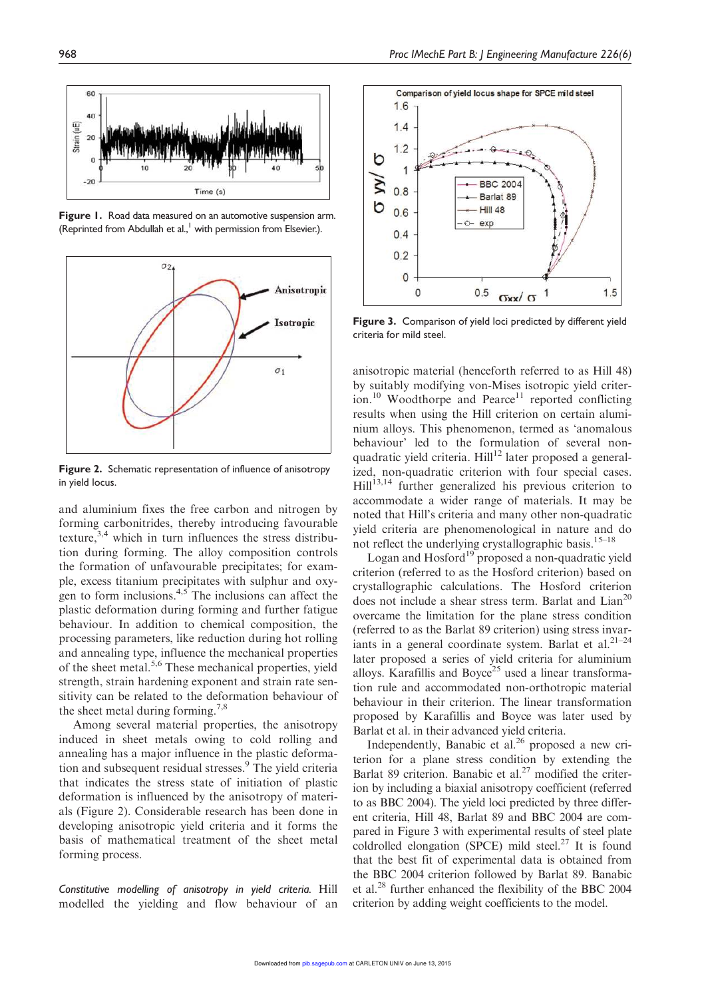

Figure 1. Road data measured on an automotive suspension arm. (Reprinted from Abdullah et al.,<sup>1</sup> with permission from Elsevier.).



Figure 2. Schematic representation of influence of anisotropy in yield locus.

and aluminium fixes the free carbon and nitrogen by forming carbonitrides, thereby introducing favourable texture, $3,4$  which in turn influences the stress distribution during forming. The alloy composition controls the formation of unfavourable precipitates; for example, excess titanium precipitates with sulphur and oxygen to form inclusions.  $4.5<sup>T</sup>$  The inclusions can affect the plastic deformation during forming and further fatigue behaviour. In addition to chemical composition, the processing parameters, like reduction during hot rolling and annealing type, influence the mechanical properties of the sheet metal.5,6 These mechanical properties, yield strength, strain hardening exponent and strain rate sensitivity can be related to the deformation behaviour of the sheet metal during forming.7,8

Among several material properties, the anisotropy induced in sheet metals owing to cold rolling and annealing has a major influence in the plastic deformation and subsequent residual stresses.<sup>9</sup> The yield criteria that indicates the stress state of initiation of plastic deformation is influenced by the anisotropy of materials (Figure 2). Considerable research has been done in developing anisotropic yield criteria and it forms the basis of mathematical treatment of the sheet metal forming process.

*Constitutive modelling of anisotropy in yield criteria.* Hill modelled the yielding and flow behaviour of an



Figure 3. Comparison of yield loci predicted by different yield criteria for mild steel.

anisotropic material (henceforth referred to as Hill 48) by suitably modifying von-Mises isotropic yield criterion.<sup>10</sup> Woodthorpe and Pearce<sup>11</sup> reported conflicting results when using the Hill criterion on certain aluminium alloys. This phenomenon, termed as 'anomalous behaviour' led to the formulation of several nonquadratic yield criteria. Hill<sup>12</sup> later proposed a generalized, non-quadratic criterion with four special cases.  $Hill<sup>13,14</sup>$  further generalized his previous criterion to accommodate a wider range of materials. It may be noted that Hill's criteria and many other non-quadratic yield criteria are phenomenological in nature and do not reflect the underlying crystallographic basis.<sup>15–18</sup>

Logan and  $H$ osford $19$  proposed a non-quadratic yield criterion (referred to as the Hosford criterion) based on crystallographic calculations. The Hosford criterion does not include a shear stress term. Barlat and Lian<sup>20</sup> overcame the limitation for the plane stress condition (referred to as the Barlat 89 criterion) using stress invariants in a general coordinate system. Barlat et al. $21-24$ later proposed a series of yield criteria for aluminium alloys. Karafillis and Boyce<sup>25</sup> used a linear transformation rule and accommodated non-orthotropic material behaviour in their criterion. The linear transformation proposed by Karafillis and Boyce was later used by Barlat et al. in their advanced yield criteria.

Independently, Banabic et al.<sup>26</sup> proposed a new criterion for a plane stress condition by extending the Barlat 89 criterion. Banabic et al.<sup>27</sup> modified the criterion by including a biaxial anisotropy coefficient (referred to as BBC 2004). The yield loci predicted by three different criteria, Hill 48, Barlat 89 and BBC 2004 are compared in Figure 3 with experimental results of steel plate coldrolled elongation (SPCE) mild steel.<sup>27</sup> It is found that the best fit of experimental data is obtained from the BBC 2004 criterion followed by Barlat 89. Banabic et al.<sup>28</sup> further enhanced the flexibility of the BBC 2004 criterion by adding weight coefficients to the model.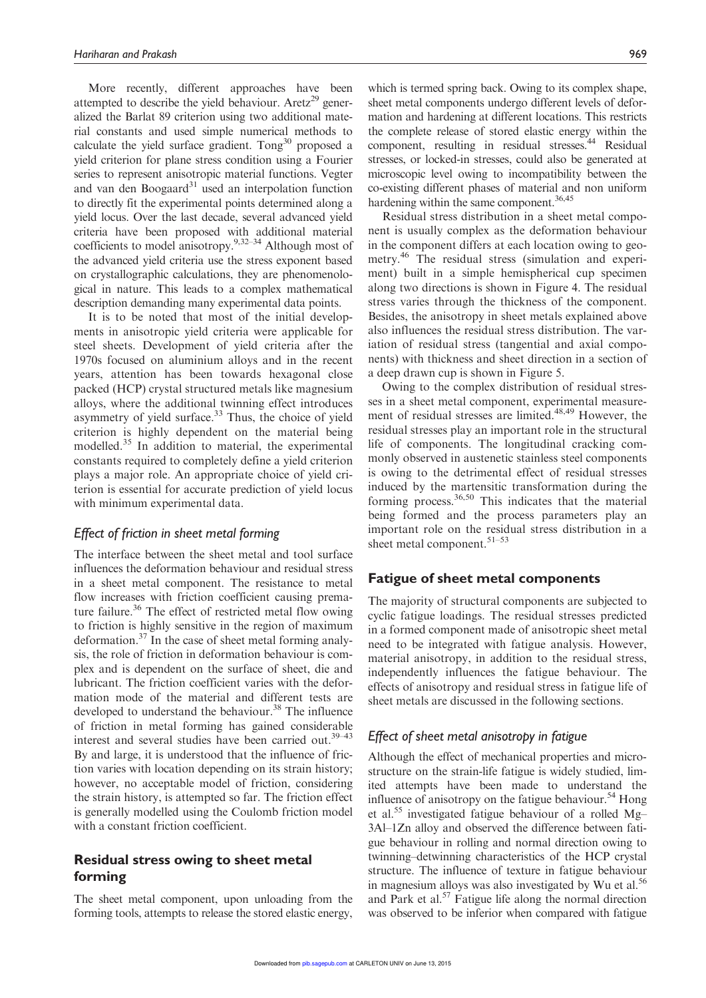More recently, different approaches have been attempted to describe the yield behaviour. Aretz<sup>29</sup> generalized the Barlat 89 criterion using two additional material constants and used simple numerical methods to calculate the yield surface gradient. Tong<sup>30</sup> proposed a yield criterion for plane stress condition using a Fourier series to represent anisotropic material functions. Vegter and van den Boogaard $31$  used an interpolation function to directly fit the experimental points determined along a yield locus. Over the last decade, several advanced yield criteria have been proposed with additional material coefficients to model anisotropy.9,32–34 Although most of the advanced yield criteria use the stress exponent based on crystallographic calculations, they are phenomenological in nature. This leads to a complex mathematical description demanding many experimental data points.

It is to be noted that most of the initial developments in anisotropic yield criteria were applicable for steel sheets. Development of yield criteria after the 1970s focused on aluminium alloys and in the recent years, attention has been towards hexagonal close packed (HCP) crystal structured metals like magnesium alloys, where the additional twinning effect introduces asymmetry of yield surface.<sup>33</sup> Thus, the choice of yield criterion is highly dependent on the material being modelled.<sup>35</sup> In addition to material, the experimental constants required to completely define a yield criterion plays a major role. An appropriate choice of yield criterion is essential for accurate prediction of yield locus with minimum experimental data.

#### *Effect of friction in sheet metal forming*

The interface between the sheet metal and tool surface influences the deformation behaviour and residual stress in a sheet metal component. The resistance to metal flow increases with friction coefficient causing premature failure.<sup>36</sup> The effect of restricted metal flow owing to friction is highly sensitive in the region of maximum deformation. $37$  In the case of sheet metal forming analysis, the role of friction in deformation behaviour is complex and is dependent on the surface of sheet, die and lubricant. The friction coefficient varies with the deformation mode of the material and different tests are developed to understand the behaviour.<sup>38</sup> The influence of friction in metal forming has gained considerable interest and several studies have been carried out. $39-43$ By and large, it is understood that the influence of friction varies with location depending on its strain history; however, no acceptable model of friction, considering the strain history, is attempted so far. The friction effect is generally modelled using the Coulomb friction model with a constant friction coefficient.

## Residual stress owing to sheet metal forming

The sheet metal component, upon unloading from the forming tools, attempts to release the stored elastic energy, which is termed spring back. Owing to its complex shape, sheet metal components undergo different levels of deformation and hardening at different locations. This restricts the complete release of stored elastic energy within the component, resulting in residual stresses.<sup>44</sup> Residual stresses, or locked-in stresses, could also be generated at microscopic level owing to incompatibility between the co-existing different phases of material and non uniform hardening within the same component.<sup>36,45</sup>

Residual stress distribution in a sheet metal component is usually complex as the deformation behaviour in the component differs at each location owing to geometry.<sup>46</sup> The residual stress (simulation and experiment) built in a simple hemispherical cup specimen along two directions is shown in Figure 4. The residual stress varies through the thickness of the component. Besides, the anisotropy in sheet metals explained above also influences the residual stress distribution. The variation of residual stress (tangential and axial components) with thickness and sheet direction in a section of a deep drawn cup is shown in Figure 5.

Owing to the complex distribution of residual stresses in a sheet metal component, experimental measurement of residual stresses are limited.<sup>48,49</sup> However, the residual stresses play an important role in the structural life of components. The longitudinal cracking commonly observed in austenetic stainless steel components is owing to the detrimental effect of residual stresses induced by the martensitic transformation during the forming process.<sup>36,50</sup> This indicates that the material being formed and the process parameters play an important role on the residual stress distribution in a sheet metal component.<sup>51–53</sup>

#### Fatigue of sheet metal components

The majority of structural components are subjected to cyclic fatigue loadings. The residual stresses predicted in a formed component made of anisotropic sheet metal need to be integrated with fatigue analysis. However, material anisotropy, in addition to the residual stress, independently influences the fatigue behaviour. The effects of anisotropy and residual stress in fatigue life of sheet metals are discussed in the following sections.

#### *Effect of sheet metal anisotropy in fatigue*

Although the effect of mechanical properties and microstructure on the strain-life fatigue is widely studied, limited attempts have been made to understand the influence of anisotropy on the fatigue behaviour.<sup>54</sup> Hong et al.<sup>55</sup> investigated fatigue behaviour of a rolled Mg– 3Al–1Zn alloy and observed the difference between fatigue behaviour in rolling and normal direction owing to twinning–detwinning characteristics of the HCP crystal structure. The influence of texture in fatigue behaviour in magnesium alloys was also investigated by Wu et al.<sup>56</sup> and Park et al. $57$  Fatigue life along the normal direction was observed to be inferior when compared with fatigue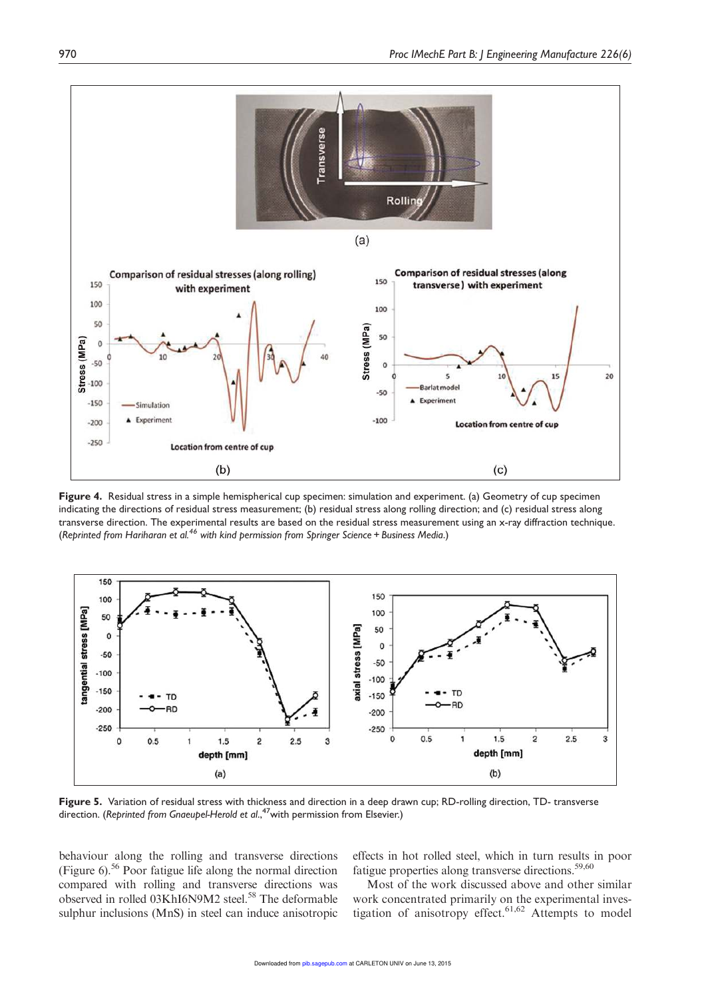

Figure 4. Residual stress in a simple hemispherical cup specimen: simulation and experiment. (a) Geometry of cup specimen indicating the directions of residual stress measurement; (b) residual stress along rolling direction; and (c) residual stress along transverse direction. The experimental results are based on the residual stress measurement using an x-ray diffraction technique. (*Reprinted from Hariharan et al.<sup>46</sup> with kind permission from Springer Science* + *Business Media*.)



Figure 5. Variation of residual stress with thickness and direction in a deep drawn cup; RD-rolling direction, TD- transverse direction. (*Reprinted from Gnaeupel-Herold et al*., <sup>47</sup>with permission from Elsevier.)

behaviour along the rolling and transverse directions (Figure  $6$ ).<sup>56</sup> Poor fatigue life along the normal direction compared with rolling and transverse directions was observed in rolled 03KhI6N9M2 steel.<sup>58</sup> The deformable sulphur inclusions (MnS) in steel can induce anisotropic

effects in hot rolled steel, which in turn results in poor fatigue properties along transverse directions.<sup>59,60</sup>

Most of the work discussed above and other similar work concentrated primarily on the experimental investigation of anisotropy effect.<sup>61,62</sup> Attempts to model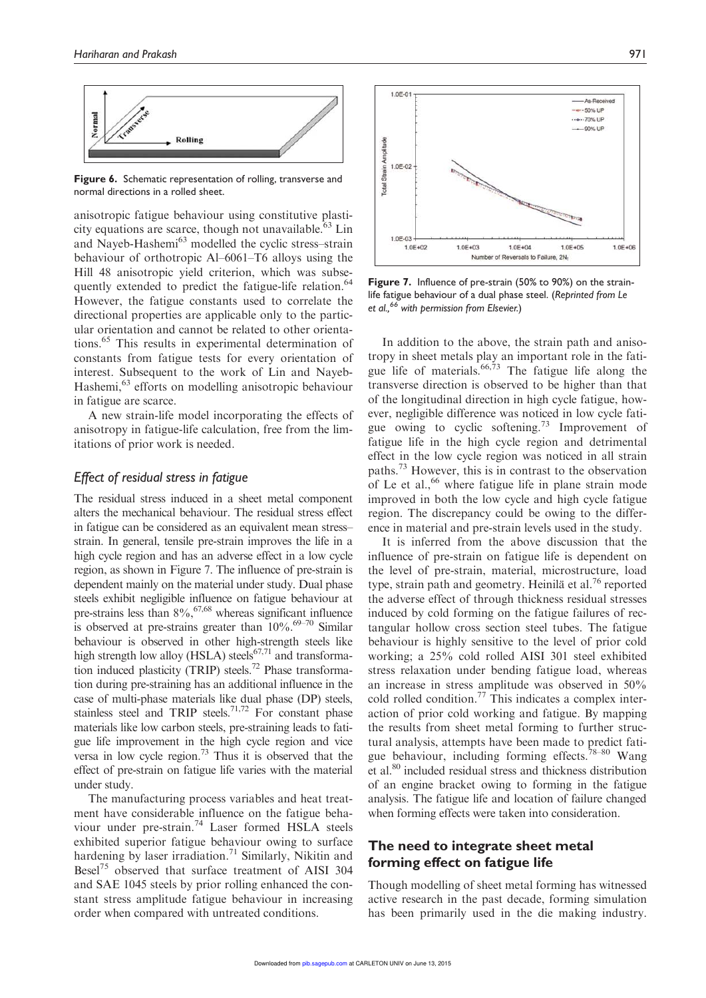

Figure 6. Schematic representation of rolling, transverse and normal directions in a rolled sheet.

anisotropic fatigue behaviour using constitutive plasticity equations are scarce, though not unavailable. $^{63}$  Lin and Nayeb-Hashemi<sup>63</sup> modelled the cyclic stress-strain behaviour of orthotropic Al–6061–T6 alloys using the Hill 48 anisotropic yield criterion, which was subsequently extended to predict the fatigue-life relation.<sup>64</sup> However, the fatigue constants used to correlate the directional properties are applicable only to the particular orientation and cannot be related to other orientations.<sup>65</sup> This results in experimental determination of constants from fatigue tests for every orientation of interest. Subsequent to the work of Lin and Nayeb-Hashemi,<sup>63</sup> efforts on modelling anisotropic behaviour in fatigue are scarce.

A new strain-life model incorporating the effects of anisotropy in fatigue-life calculation, free from the limitations of prior work is needed.

#### *Effect of residual stress in fatigue*

The residual stress induced in a sheet metal component alters the mechanical behaviour. The residual stress effect in fatigue can be considered as an equivalent mean stress– strain. In general, tensile pre-strain improves the life in a high cycle region and has an adverse effect in a low cycle region, as shown in Figure 7. The influence of pre-strain is dependent mainly on the material under study. Dual phase steels exhibit negligible influence on fatigue behaviour at pre-strains less than  $8\%,^{67,68}$  whereas significant influence is observed at pre-strains greater than  $10\%$ .<sup>69–70</sup> Similar behaviour is observed in other high-strength steels like high strength low alloy (HSLA) steels<sup>67,71</sup> and transformation induced plasticity (TRIP) steels.<sup>72</sup> Phase transformation during pre-straining has an additional influence in the case of multi-phase materials like dual phase (DP) steels, stainless steel and TRIP steels.<sup>71,72</sup> For constant phase materials like low carbon steels, pre-straining leads to fatigue life improvement in the high cycle region and vice versa in low cycle region.<sup>73</sup> Thus it is observed that the effect of pre-strain on fatigue life varies with the material under study.

The manufacturing process variables and heat treatment have considerable influence on the fatigue behaviour under pre-strain.<sup>74</sup> Laser formed HSLA steels exhibited superior fatigue behaviour owing to surface hardening by laser irradiation.<sup>71</sup> Similarly, Nikitin and Besel<sup>75</sup> observed that surface treatment of AISI 304 and SAE 1045 steels by prior rolling enhanced the constant stress amplitude fatigue behaviour in increasing order when compared with untreated conditions.



Figure 7. Influence of pre-strain (50% to 90%) on the strainlife fatigue behaviour of a dual phase steel. (*Reprinted from Le et al.,<sup>66</sup> with permission from Elsevier*.)

In addition to the above, the strain path and anisotropy in sheet metals play an important role in the fatigue life of materials.<sup>66,73</sup> The fatigue life along the transverse direction is observed to be higher than that of the longitudinal direction in high cycle fatigue, however, negligible difference was noticed in low cycle fatigue owing to cyclic softening.<sup>73</sup> Improvement of fatigue life in the high cycle region and detrimental effect in the low cycle region was noticed in all strain paths.<sup>73</sup> However, this is in contrast to the observation of Le et al.,<sup>66</sup> where fatigue life in plane strain mode improved in both the low cycle and high cycle fatigue region. The discrepancy could be owing to the difference in material and pre-strain levels used in the study.

It is inferred from the above discussion that the influence of pre-strain on fatigue life is dependent on the level of pre-strain, material, microstructure, load type, strain path and geometry. Heinilä et al.<sup>76</sup> reported the adverse effect of through thickness residual stresses induced by cold forming on the fatigue failures of rectangular hollow cross section steel tubes. The fatigue behaviour is highly sensitive to the level of prior cold working; a 25% cold rolled AISI 301 steel exhibited stress relaxation under bending fatigue load, whereas an increase in stress amplitude was observed in 50% cold rolled condition.<sup>77</sup> This indicates a complex interaction of prior cold working and fatigue. By mapping the results from sheet metal forming to further structural analysis, attempts have been made to predict fatigue behaviour, including forming effects.<sup>78–80</sup> Wang et al.<sup>80</sup> included residual stress and thickness distribution of an engine bracket owing to forming in the fatigue analysis. The fatigue life and location of failure changed when forming effects were taken into consideration.

## The need to integrate sheet metal forming effect on fatigue life

Though modelling of sheet metal forming has witnessed active research in the past decade, forming simulation has been primarily used in the die making industry.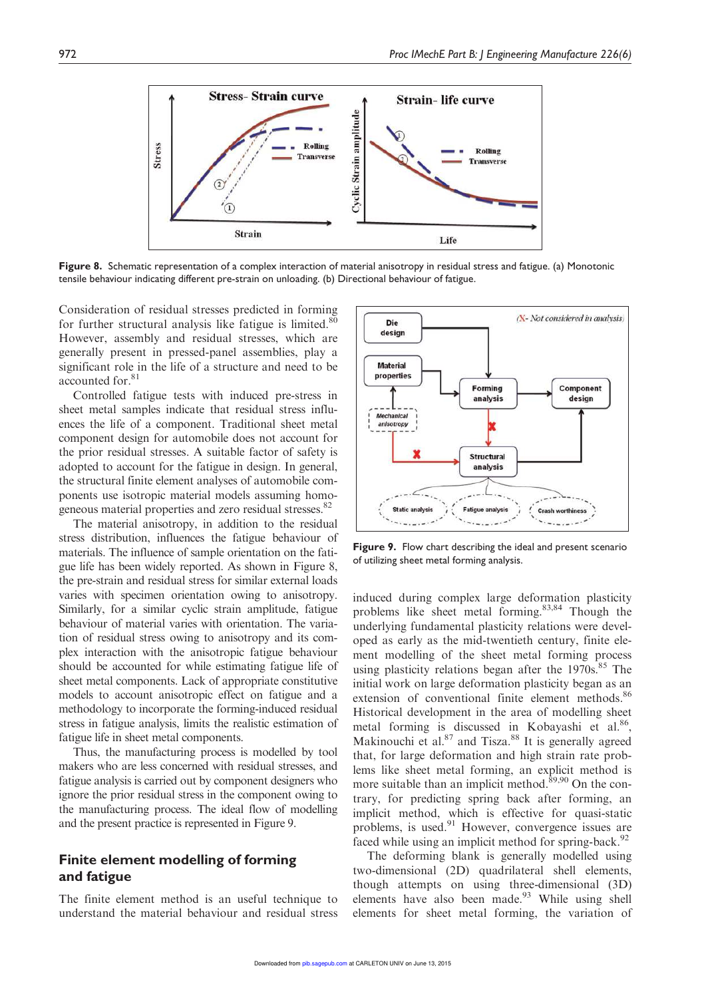

Figure 8. Schematic representation of a complex interaction of material anisotropy in residual stress and fatigue. (a) Monotonic tensile behaviour indicating different pre-strain on unloading. (b) Directional behaviour of fatigue.

Consideration of residual stresses predicted in forming for further structural analysis like fatigue is limited.<sup>80</sup> However, assembly and residual stresses, which are generally present in pressed-panel assemblies, play a significant role in the life of a structure and need to be accounted for.<sup>81</sup>

Controlled fatigue tests with induced pre-stress in sheet metal samples indicate that residual stress influences the life of a component. Traditional sheet metal component design for automobile does not account for the prior residual stresses. A suitable factor of safety is adopted to account for the fatigue in design. In general, the structural finite element analyses of automobile components use isotropic material models assuming homogeneous material properties and zero residual stresses.<sup>82</sup>

The material anisotropy, in addition to the residual stress distribution, influences the fatigue behaviour of materials. The influence of sample orientation on the fatigue life has been widely reported. As shown in Figure 8, the pre-strain and residual stress for similar external loads varies with specimen orientation owing to anisotropy. Similarly, for a similar cyclic strain amplitude, fatigue behaviour of material varies with orientation. The variation of residual stress owing to anisotropy and its complex interaction with the anisotropic fatigue behaviour should be accounted for while estimating fatigue life of sheet metal components. Lack of appropriate constitutive models to account anisotropic effect on fatigue and a methodology to incorporate the forming-induced residual stress in fatigue analysis, limits the realistic estimation of fatigue life in sheet metal components.

Thus, the manufacturing process is modelled by tool makers who are less concerned with residual stresses, and fatigue analysis is carried out by component designers who ignore the prior residual stress in the component owing to the manufacturing process. The ideal flow of modelling and the present practice is represented in Figure 9.

## Finite element modelling of forming and fatigue

The finite element method is an useful technique to understand the material behaviour and residual stress



Figure 9. Flow chart describing the ideal and present scenario of utilizing sheet metal forming analysis.

induced during complex large deformation plasticity problems like sheet metal forming.83,84 Though the underlying fundamental plasticity relations were developed as early as the mid-twentieth century, finite element modelling of the sheet metal forming process using plasticity relations began after the  $1970s$ .<sup>85</sup> The initial work on large deformation plasticity began as an extension of conventional finite element methods.<sup>86</sup> Historical development in the area of modelling sheet metal forming is discussed in Kobayashi et al.<sup>86</sup>, Makinouchi et al. $87$  and Tisza. $88$  It is generally agreed that, for large deformation and high strain rate problems like sheet metal forming, an explicit method is more suitable than an implicit method.<sup>89,90</sup> On the contrary, for predicting spring back after forming, an implicit method, which is effective for quasi-static problems, is used.<sup>91</sup> However, convergence issues are faced while using an implicit method for spring-back.<sup>92</sup>

The deforming blank is generally modelled using two-dimensional (2D) quadrilateral shell elements, though attempts on using three-dimensional (3D) elements have also been made.<sup>93</sup> While using shell elements for sheet metal forming, the variation of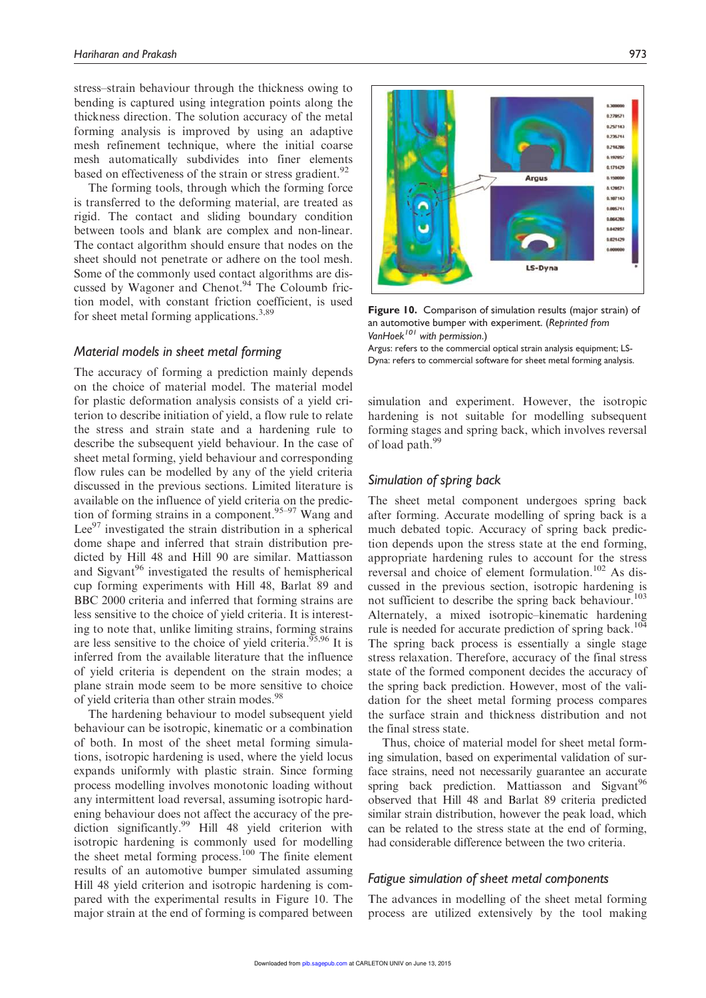stress–strain behaviour through the thickness owing to bending is captured using integration points along the thickness direction. The solution accuracy of the metal forming analysis is improved by using an adaptive mesh refinement technique, where the initial coarse mesh automatically subdivides into finer elements based on effectiveness of the strain or stress gradient.<sup>92</sup>

The forming tools, through which the forming force is transferred to the deforming material, are treated as rigid. The contact and sliding boundary condition between tools and blank are complex and non-linear. The contact algorithm should ensure that nodes on the sheet should not penetrate or adhere on the tool mesh. Some of the commonly used contact algorithms are discussed by Wagoner and Chenot.<sup>94</sup> The Coloumb friction model, with constant friction coefficient, is used for sheet metal forming applications.<sup>3,89</sup>

#### *Material models in sheet metal forming*

The accuracy of forming a prediction mainly depends on the choice of material model. The material model for plastic deformation analysis consists of a yield criterion to describe initiation of yield, a flow rule to relate the stress and strain state and a hardening rule to describe the subsequent yield behaviour. In the case of sheet metal forming, yield behaviour and corresponding flow rules can be modelled by any of the yield criteria discussed in the previous sections. Limited literature is available on the influence of yield criteria on the prediction of forming strains in a component.<sup>95–97</sup> Wang and Lee<sup>97</sup> investigated the strain distribution in a spherical dome shape and inferred that strain distribution predicted by Hill 48 and Hill 90 are similar. Mattiasson and Sigvant<sup>96</sup> investigated the results of hemispherical cup forming experiments with Hill 48, Barlat 89 and BBC 2000 criteria and inferred that forming strains are less sensitive to the choice of yield criteria. It is interesting to note that, unlike limiting strains, forming strains are less sensitive to the choice of yield criteria.<sup>95,96</sup> It is inferred from the available literature that the influence of yield criteria is dependent on the strain modes; a plane strain mode seem to be more sensitive to choice of yield criteria than other strain modes.<sup>98</sup>

The hardening behaviour to model subsequent yield behaviour can be isotropic, kinematic or a combination of both. In most of the sheet metal forming simulations, isotropic hardening is used, where the yield locus expands uniformly with plastic strain. Since forming process modelling involves monotonic loading without any intermittent load reversal, assuming isotropic hardening behaviour does not affect the accuracy of the prediction significantly.<sup>99</sup> Hill 48 yield criterion with isotropic hardening is commonly used for modelling the sheet metal forming process.<sup>100</sup> The finite element results of an automotive bumper simulated assuming Hill 48 yield criterion and isotropic hardening is compared with the experimental results in Figure 10. The major strain at the end of forming is compared between



Figure 10. Comparison of simulation results (major strain) of an automotive bumper with experiment. (*Reprinted from VanHoek<sup>101</sup> with permission*.)

Argus: refers to the commercial optical strain analysis equipment; LS-Dyna: refers to commercial software for sheet metal forming analysis.

simulation and experiment. However, the isotropic hardening is not suitable for modelling subsequent forming stages and spring back, which involves reversal of load path.<sup>99</sup>

#### *Simulation of spring back*

The sheet metal component undergoes spring back after forming. Accurate modelling of spring back is a much debated topic. Accuracy of spring back prediction depends upon the stress state at the end forming, appropriate hardening rules to account for the stress reversal and choice of element formulation.<sup>102</sup> As discussed in the previous section, isotropic hardening is not sufficient to describe the spring back behaviour.<sup>103</sup> Alternately, a mixed isotropic–kinematic hardening rule is needed for accurate prediction of spring back.<sup>104</sup> The spring back process is essentially a single stage stress relaxation. Therefore, accuracy of the final stress state of the formed component decides the accuracy of the spring back prediction. However, most of the validation for the sheet metal forming process compares the surface strain and thickness distribution and not the final stress state.

Thus, choice of material model for sheet metal forming simulation, based on experimental validation of surface strains, need not necessarily guarantee an accurate spring back prediction. Mattiasson and Sigvant<sup>96</sup> observed that Hill 48 and Barlat 89 criteria predicted similar strain distribution, however the peak load, which can be related to the stress state at the end of forming, had considerable difference between the two criteria.

#### *Fatigue simulation of sheet metal components*

The advances in modelling of the sheet metal forming process are utilized extensively by the tool making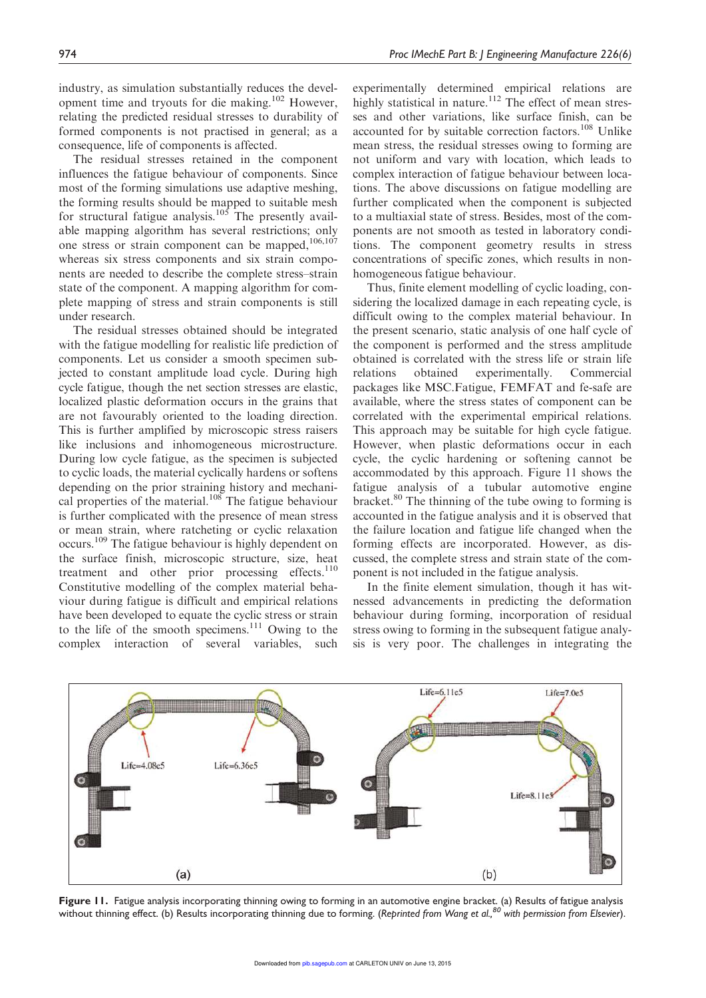industry, as simulation substantially reduces the development time and tryouts for die making.<sup>102</sup> However, relating the predicted residual stresses to durability of formed components is not practised in general; as a consequence, life of components is affected.

The residual stresses retained in the component influences the fatigue behaviour of components. Since most of the forming simulations use adaptive meshing, the forming results should be mapped to suitable mesh for structural fatigue analysis.<sup>105</sup> The presently available mapping algorithm has several restrictions; only one stress or strain component can be mapped,<sup>106,107</sup> whereas six stress components and six strain components are needed to describe the complete stress–strain state of the component. A mapping algorithm for complete mapping of stress and strain components is still under research.

The residual stresses obtained should be integrated with the fatigue modelling for realistic life prediction of components. Let us consider a smooth specimen subjected to constant amplitude load cycle. During high cycle fatigue, though the net section stresses are elastic, localized plastic deformation occurs in the grains that are not favourably oriented to the loading direction. This is further amplified by microscopic stress raisers like inclusions and inhomogeneous microstructure. During low cycle fatigue, as the specimen is subjected to cyclic loads, the material cyclically hardens or softens depending on the prior straining history and mechanical properties of the material. $108$  The fatigue behaviour is further complicated with the presence of mean stress or mean strain, where ratcheting or cyclic relaxation occurs.<sup>109</sup> The fatigue behaviour is highly dependent on the surface finish, microscopic structure, size, heat treatment and other prior processing effects.<sup>110</sup> Constitutive modelling of the complex material behaviour during fatigue is difficult and empirical relations have been developed to equate the cyclic stress or strain to the life of the smooth specimens.<sup>111</sup> Owing to the complex interaction of several variables, such

experimentally determined empirical relations are highly statistical in nature.<sup>112</sup> The effect of mean stresses and other variations, like surface finish, can be accounted for by suitable correction factors.<sup>108</sup> Unlike mean stress, the residual stresses owing to forming are not uniform and vary with location, which leads to complex interaction of fatigue behaviour between locations. The above discussions on fatigue modelling are further complicated when the component is subjected to a multiaxial state of stress. Besides, most of the components are not smooth as tested in laboratory conditions. The component geometry results in stress concentrations of specific zones, which results in nonhomogeneous fatigue behaviour.

Thus, finite element modelling of cyclic loading, considering the localized damage in each repeating cycle, is difficult owing to the complex material behaviour. In the present scenario, static analysis of one half cycle of the component is performed and the stress amplitude obtained is correlated with the stress life or strain life relations obtained experimentally. Commercial packages like MSC.Fatigue, FEMFAT and fe-safe are available, where the stress states of component can be correlated with the experimental empirical relations. This approach may be suitable for high cycle fatigue. However, when plastic deformations occur in each cycle, the cyclic hardening or softening cannot be accommodated by this approach. Figure 11 shows the fatigue analysis of a tubular automotive engine bracket.<sup>80</sup> The thinning of the tube owing to forming is accounted in the fatigue analysis and it is observed that the failure location and fatigue life changed when the forming effects are incorporated. However, as discussed, the complete stress and strain state of the component is not included in the fatigue analysis.

In the finite element simulation, though it has witnessed advancements in predicting the deformation behaviour during forming, incorporation of residual stress owing to forming in the subsequent fatigue analysis is very poor. The challenges in integrating the



Figure 11. Fatigue analysis incorporating thinning owing to forming in an automotive engine bracket. (a) Results of fatigue analysis without thinning effect. (b) Results incorporating thinning due to forming. (*Reprinted from Wang et al.,<sup>80</sup> with permission from Elsevier*).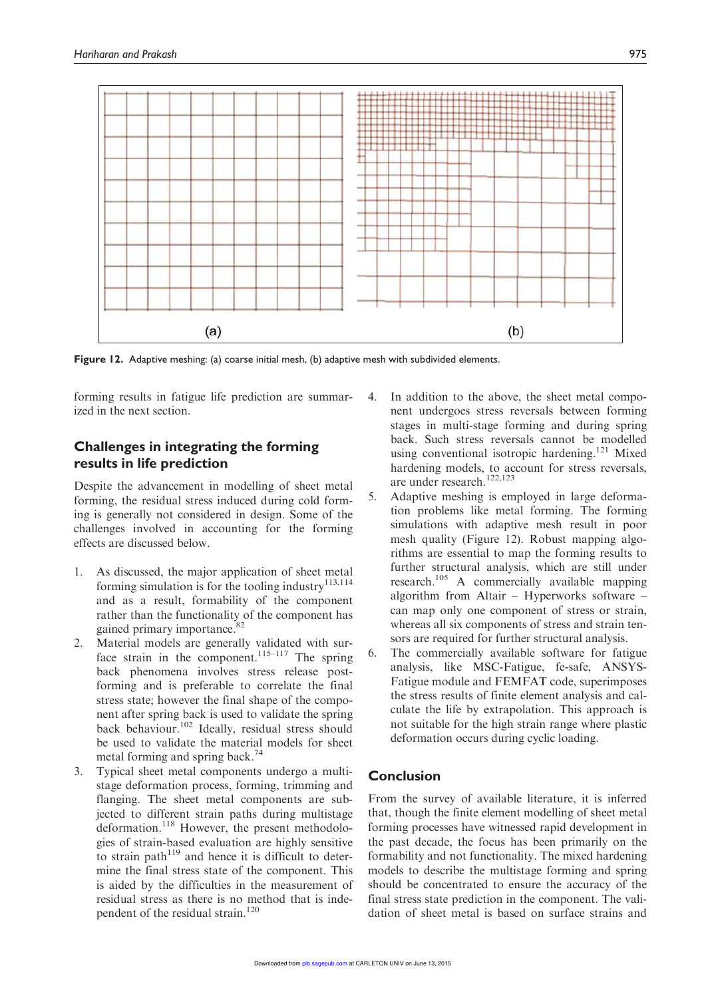

Figure 12. Adaptive meshing: (a) coarse initial mesh, (b) adaptive mesh with subdivided elements.

forming results in fatigue life prediction are summarized in the next section.

## Challenges in integrating the forming results in life prediction

Despite the advancement in modelling of sheet metal forming, the residual stress induced during cold forming is generally not considered in design. Some of the challenges involved in accounting for the forming effects are discussed below.

- 1. As discussed, the major application of sheet metal forming simulation is for the tooling industry $113,114$ and as a result, formability of the component rather than the functionality of the component has gained primary importance.<sup>82</sup>
- 2. Material models are generally validated with surface strain in the component.<sup>115–117</sup> The spring back phenomena involves stress release postforming and is preferable to correlate the final stress state; however the final shape of the component after spring back is used to validate the spring back behaviour.<sup>102</sup> Ideally, residual stress should be used to validate the material models for sheet metal forming and spring back.<sup>74</sup>
- 3. Typical sheet metal components undergo a multistage deformation process, forming, trimming and flanging. The sheet metal components are subjected to different strain paths during multistage deformation.<sup>118</sup> However, the present methodologies of strain-based evaluation are highly sensitive to strain path $119$  and hence it is difficult to determine the final stress state of the component. This is aided by the difficulties in the measurement of residual stress as there is no method that is independent of the residual strain.<sup>120</sup>
- 4. In addition to the above, the sheet metal component undergoes stress reversals between forming stages in multi-stage forming and during spring back. Such stress reversals cannot be modelled using conventional isotropic hardening.<sup>121</sup> Mixed hardening models, to account for stress reversals, are under research.122,123
- 5. Adaptive meshing is employed in large deformation problems like metal forming. The forming simulations with adaptive mesh result in poor mesh quality (Figure 12). Robust mapping algorithms are essential to map the forming results to further structural analysis, which are still under research.<sup>105</sup> A commercially available mapping algorithm from Altair – Hyperworks software – can map only one component of stress or strain, whereas all six components of stress and strain tensors are required for further structural analysis.
- 6. The commercially available software for fatigue analysis, like MSC-Fatigue, fe-safe, ANSYS-Fatigue module and FEMFAT code, superimposes the stress results of finite element analysis and calculate the life by extrapolation. This approach is not suitable for the high strain range where plastic deformation occurs during cyclic loading.

## Conclusion

From the survey of available literature, it is inferred that, though the finite element modelling of sheet metal forming processes have witnessed rapid development in the past decade, the focus has been primarily on the formability and not functionality. The mixed hardening models to describe the multistage forming and spring should be concentrated to ensure the accuracy of the final stress state prediction in the component. The validation of sheet metal is based on surface strains and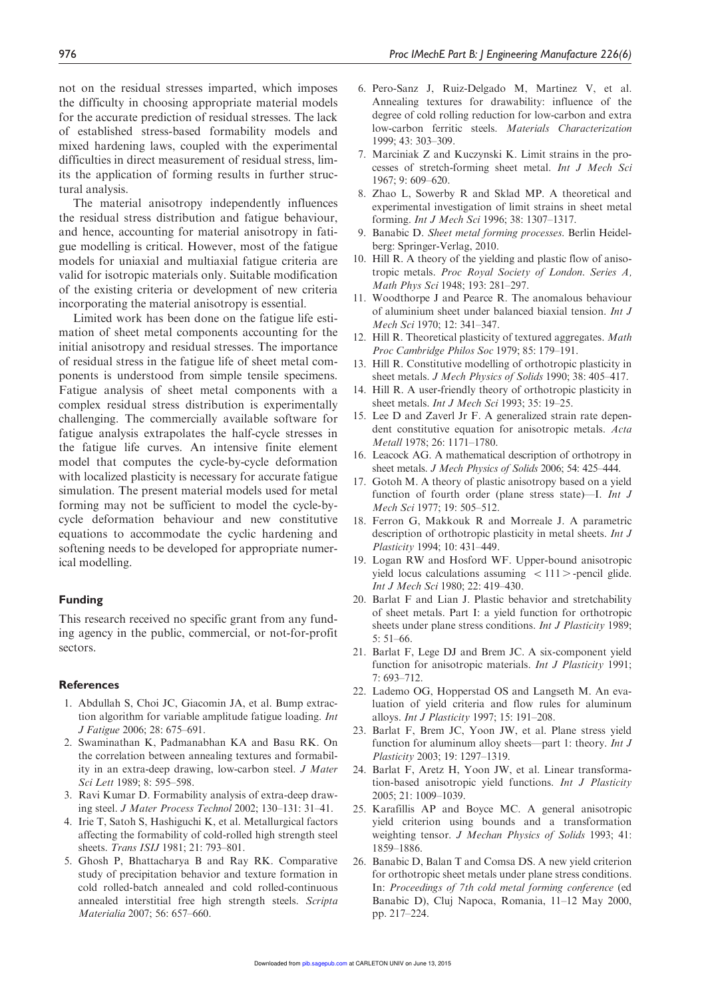not on the residual stresses imparted, which imposes the difficulty in choosing appropriate material models for the accurate prediction of residual stresses. The lack of established stress-based formability models and mixed hardening laws, coupled with the experimental difficulties in direct measurement of residual stress, limits the application of forming results in further structural analysis.

The material anisotropy independently influences the residual stress distribution and fatigue behaviour, and hence, accounting for material anisotropy in fatigue modelling is critical. However, most of the fatigue models for uniaxial and multiaxial fatigue criteria are valid for isotropic materials only. Suitable modification of the existing criteria or development of new criteria incorporating the material anisotropy is essential.

Limited work has been done on the fatigue life estimation of sheet metal components accounting for the initial anisotropy and residual stresses. The importance of residual stress in the fatigue life of sheet metal components is understood from simple tensile specimens. Fatigue analysis of sheet metal components with a complex residual stress distribution is experimentally challenging. The commercially available software for fatigue analysis extrapolates the half-cycle stresses in the fatigue life curves. An intensive finite element model that computes the cycle-by-cycle deformation with localized plasticity is necessary for accurate fatigue simulation. The present material models used for metal forming may not be sufficient to model the cycle-bycycle deformation behaviour and new constitutive equations to accommodate the cyclic hardening and softening needs to be developed for appropriate numerical modelling.

#### Funding

This research received no specific grant from any funding agency in the public, commercial, or not-for-profit sectors.

#### **References**

- 1. Abdullah S, Choi JC, Giacomin JA, et al. Bump extraction algorithm for variable amplitude fatigue loading. Int J Fatigue 2006; 28: 675–691.
- 2. Swaminathan K, Padmanabhan KA and Basu RK. On the correlation between annealing textures and formability in an extra-deep drawing, low-carbon steel. J Mater Sci Lett 1989; 8: 595–598.
- 3. Ravi Kumar D. Formability analysis of extra-deep drawing steel. J Mater Process Technol 2002; 130–131: 31–41.
- 4. Irie T, Satoh S, Hashiguchi K, et al. Metallurgical factors affecting the formability of cold-rolled high strength steel sheets. Trans ISIJ 1981; 21: 793–801.
- 5. Ghosh P, Bhattacharya B and Ray RK. Comparative study of precipitation behavior and texture formation in cold rolled-batch annealed and cold rolled-continuous annealed interstitial free high strength steels. Scripta Materialia 2007; 56: 657–660.
- 6. Pero-Sanz J, Ruiz-Delgado M, Martinez V, et al. Annealing textures for drawability: influence of the degree of cold rolling reduction for low-carbon and extra low-carbon ferritic steels. Materials Characterization  $1999 \cdot 43 \cdot 303 - 309$
- 7. Marciniak Z and Kuczynski K. Limit strains in the processes of stretch-forming sheet metal. Int J Mech Sci 1967; 9: 609–620.
- 8. Zhao L, Sowerby R and Sklad MP. A theoretical and experimental investigation of limit strains in sheet metal forming. Int J Mech Sci 1996; 38: 1307–1317.
- Banabic D. Sheet metal forming processes. Berlin Heidelberg: Springer-Verlag, 2010.
- 10. Hill R. A theory of the yielding and plastic flow of anisotropic metals. Proc Royal Society of London. Series A, Math Phys Sci 1948; 193: 281–297.
- 11. Woodthorpe J and Pearce R. The anomalous behaviour of aluminium sheet under balanced biaxial tension. Int J Mech Sci 1970; 12: 341–347.
- 12. Hill R. Theoretical plasticity of textured aggregates. Math Proc Cambridge Philos Soc 1979; 85: 179–191.
- 13. Hill R. Constitutive modelling of orthotropic plasticity in sheet metals. J Mech Physics of Solids 1990; 38: 405–417.
- 14. Hill R. A user-friendly theory of orthotropic plasticity in sheet metals. Int J Mech Sci 1993; 35: 19–25.
- 15. Lee D and Zaverl Jr F. A generalized strain rate dependent constitutive equation for anisotropic metals. Acta Metall 1978; 26: 1171–1780.
- 16. Leacock AG. A mathematical description of orthotropy in sheet metals. J Mech Physics of Solids 2006; 54: 425–444.
- 17. Gotoh M. A theory of plastic anisotropy based on a yield function of fourth order (plane stress state)—I. Int J Mech Sci 1977; 19: 505–512.
- 18. Ferron G, Makkouk R and Morreale J. A parametric description of orthotropic plasticity in metal sheets. Int J Plasticity 1994; 10: 431–449.
- 19. Logan RW and Hosford WF. Upper-bound anisotropic yield locus calculations assuming  $\langle 111 \rangle$ -pencil glide. Int J Mech Sci 1980; 22: 419–430.
- 20. Barlat F and Lian J. Plastic behavior and stretchability of sheet metals. Part I: a yield function for orthotropic sheets under plane stress conditions. Int J Plasticity 1989; 5: 51–66.
- 21. Barlat F, Lege DJ and Brem JC. A six-component yield function for anisotropic materials. *Int J Plasticity* 1991; 7: 693–712.
- 22. Lademo OG, Hopperstad OS and Langseth M. An evaluation of yield criteria and flow rules for aluminum alloys. Int J Plasticity 1997; 15: 191–208.
- 23. Barlat F, Brem JC, Yoon JW, et al. Plane stress yield function for aluminum alloy sheets—part 1: theory. Int J Plasticity 2003; 19: 1297–1319.
- 24. Barlat F, Aretz H, Yoon JW, et al. Linear transformation-based anisotropic yield functions. Int J Plasticity 2005; 21: 1009–1039.
- 25. Karafillis AP and Boyce MC. A general anisotropic yield criterion using bounds and a transformation weighting tensor. J Mechan Physics of Solids 1993; 41: 1859–1886.
- 26. Banabic D, Balan T and Comsa DS. A new yield criterion for orthotropic sheet metals under plane stress conditions. In: Proceedings of 7th cold metal forming conference (ed Banabic D), Cluj Napoca, Romania, 11–12 May 2000, pp. 217–224.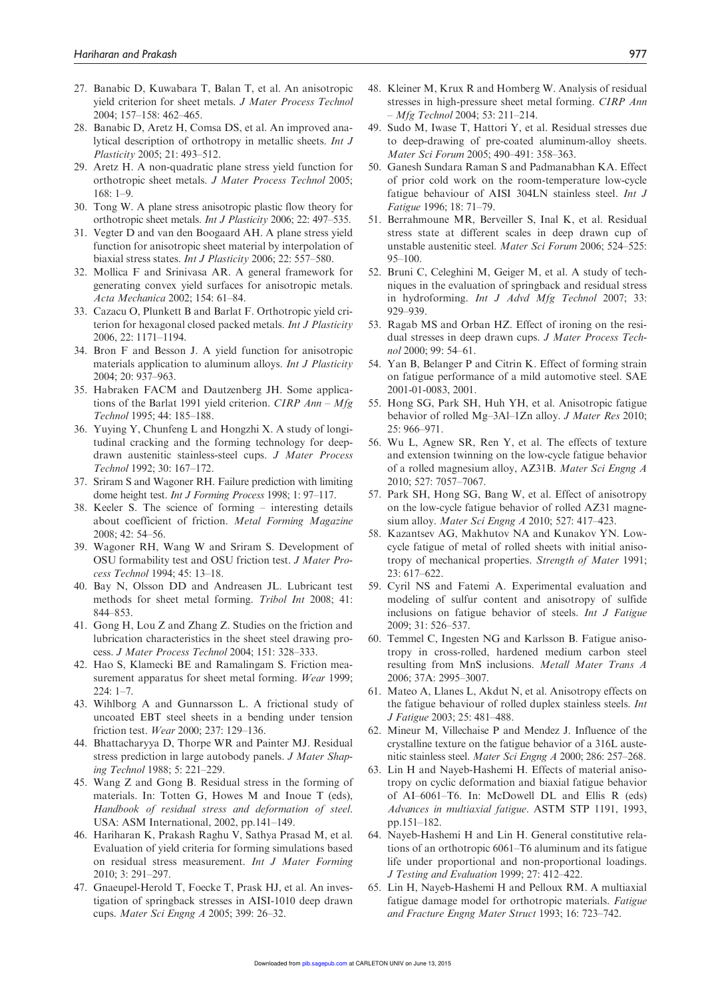- 27. Banabic D, Kuwabara T, Balan T, et al. An anisotropic yield criterion for sheet metals. J Mater Process Technol 2004; 157–158: 462–465.
- 28. Banabic D, Aretz H, Comsa DS, et al. An improved analytical description of orthotropy in metallic sheets. Int J Plasticity 2005; 21: 493–512.
- 29. Aretz H. A non-quadratic plane stress yield function for orthotropic sheet metals. J Mater Process Technol 2005; 168: 1–9.
- 30. Tong W. A plane stress anisotropic plastic flow theory for orthotropic sheet metals. Int J Plasticity 2006; 22: 497–535.
- 31. Vegter D and van den Boogaard AH. A plane stress yield function for anisotropic sheet material by interpolation of biaxial stress states. Int J Plasticity 2006; 22: 557–580.
- 32. Mollica F and Srinivasa AR. A general framework for generating convex yield surfaces for anisotropic metals. Acta Mechanica 2002; 154: 61–84.
- 33. Cazacu O, Plunkett B and Barlat F. Orthotropic yield criterion for hexagonal closed packed metals. Int J Plasticity 2006, 22: 1171–1194.
- 34. Bron F and Besson J. A yield function for anisotropic materials application to aluminum alloys. Int J Plasticity 2004; 20: 937–963.
- 35. Habraken FACM and Dautzenberg JH. Some applications of the Barlat 1991 yield criterion. CIRP  $Ann - Mfg$ Technol 1995; 44: 185–188.
- 36. Yuying Y, Chunfeng L and Hongzhi X. A study of longitudinal cracking and the forming technology for deepdrawn austenitic stainless-steel cups. J Mater Process Technol 1992; 30: 167–172.
- 37. Sriram S and Wagoner RH. Failure prediction with limiting dome height test. Int J Forming Process 1998; 1: 97–117.
- 38. Keeler S. The science of forming interesting details about coefficient of friction. Metal Forming Magazine 2008; 42: 54–56.
- 39. Wagoner RH, Wang W and Sriram S. Development of OSU formability test and OSU friction test. J Mater Process Technol 1994; 45: 13–18.
- 40. Bay N, Olsson DD and Andreasen JL. Lubricant test methods for sheet metal forming. Tribol Int 2008; 41: 844–853.
- 41. Gong H, Lou Z and Zhang Z. Studies on the friction and lubrication characteristics in the sheet steel drawing process. J Mater Process Technol 2004; 151: 328–333.
- 42. Hao S, Klamecki BE and Ramalingam S. Friction measurement apparatus for sheet metal forming. Wear 1999; 224: 1–7.
- 43. Wihlborg A and Gunnarsson L. A frictional study of uncoated EBT steel sheets in a bending under tension friction test. Wear 2000; 237: 129–136.
- 44. Bhattacharyya D, Thorpe WR and Painter MJ. Residual stress prediction in large autobody panels. J Mater Shaping Technol 1988; 5: 221–229.
- 45. Wang Z and Gong B. Residual stress in the forming of materials. In: Totten G, Howes M and Inoue T (eds), Handbook of residual stress and deformation of steel. USA: ASM International, 2002, pp.141–149.
- 46. Hariharan K, Prakash Raghu V, Sathya Prasad M, et al. Evaluation of yield criteria for forming simulations based on residual stress measurement. Int J Mater Forming 2010; 3: 291–297.
- 47. Gnaeupel-Herold T, Foecke T, Prask HJ, et al. An investigation of springback stresses in AISI-1010 deep drawn cups. Mater Sci Engng A 2005; 399: 26–32.
- 48. Kleiner M, Krux R and Homberg W. Analysis of residual stresses in high-pressure sheet metal forming. CIRP Ann  $-Mfg$  Technol 2004; 53: 211-214.
- 49. Sudo M, Iwase T, Hattori Y, et al. Residual stresses due to deep-drawing of pre-coated aluminum-alloy sheets. Mater Sci Forum 2005; 490–491: 358–363.
- 50. Ganesh Sundara Raman S and Padmanabhan KA. Effect of prior cold work on the room-temperature low-cycle fatigue behaviour of AISI 304LN stainless steel. Int J Fatigue 1996; 18: 71–79.
- 51. Berrahmoune MR, Berveiller S, Inal K, et al. Residual stress state at different scales in deep drawn cup of unstable austenitic steel. Mater Sci Forum 2006; 524–525: 95–100.
- 52. Bruni C, Celeghini M, Geiger M, et al. A study of techniques in the evaluation of springback and residual stress in hydroforming. Int J Advd Mfg Technol 2007; 33: 929–939.
- 53. Ragab MS and Orban HZ. Effect of ironing on the residual stresses in deep drawn cups. J Mater Process Technol 2000; 99: 54–61.
- 54. Yan B, Belanger P and Citrin K. Effect of forming strain on fatigue performance of a mild automotive steel. SAE 2001-01-0083, 2001.
- 55. Hong SG, Park SH, Huh YH, et al. Anisotropic fatigue behavior of rolled Mg–3Al–1Zn alloy. J Mater Res 2010; 25: 966–971.
- 56. Wu L, Agnew SR, Ren Y, et al. The effects of texture and extension twinning on the low-cycle fatigue behavior of a rolled magnesium alloy, AZ31B. Mater Sci Engng A 2010; 527: 7057–7067.
- 57. Park SH, Hong SG, Bang W, et al. Effect of anisotropy on the low-cycle fatigue behavior of rolled AZ31 magnesium alloy. Mater Sci Engng A 2010; 527: 417–423.
- 58. Kazantsev AG, Makhutov NA and Kunakov YN. Lowcycle fatigue of metal of rolled sheets with initial anisotropy of mechanical properties. Strength of Mater 1991; 23: 617–622.
- 59. Cyril NS and Fatemi A. Experimental evaluation and modeling of sulfur content and anisotropy of sulfide inclusions on fatigue behavior of steels. Int J Fatigue 2009; 31: 526–537.
- 60. Temmel C, Ingesten NG and Karlsson B. Fatigue anisotropy in cross-rolled, hardened medium carbon steel resulting from MnS inclusions. Metall Mater Trans A 2006; 37A: 2995–3007.
- 61. Mateo A, Llanes L, Akdut N, et al. Anisotropy effects on the fatigue behaviour of rolled duplex stainless steels. Int J Fatigue 2003; 25: 481–488.
- 62. Mineur M, Villechaise P and Mendez J. Influence of the crystalline texture on the fatigue behavior of a 316L austenitic stainless steel. Mater Sci Engng A 2000; 286: 257–268.
- 63. Lin H and Nayeb-Hashemi H. Effects of material anisotropy on cyclic deformation and biaxial fatigue behavior of AI–6061–T6. In: McDowell DL and Ellis R (eds) Advances in multiaxial fatigue. ASTM STP 1191, 1993, pp.151–182.
- 64. Nayeb-Hashemi H and Lin H. General constitutive relations of an orthotropic 6061–T6 aluminum and its fatigue life under proportional and non-proportional loadings. J Testing and Evaluation 1999; 27: 412–422.
- 65. Lin H, Nayeb-Hashemi H and Pelloux RM. A multiaxial fatigue damage model for orthotropic materials. Fatigue and Fracture Engng Mater Struct 1993; 16: 723–742.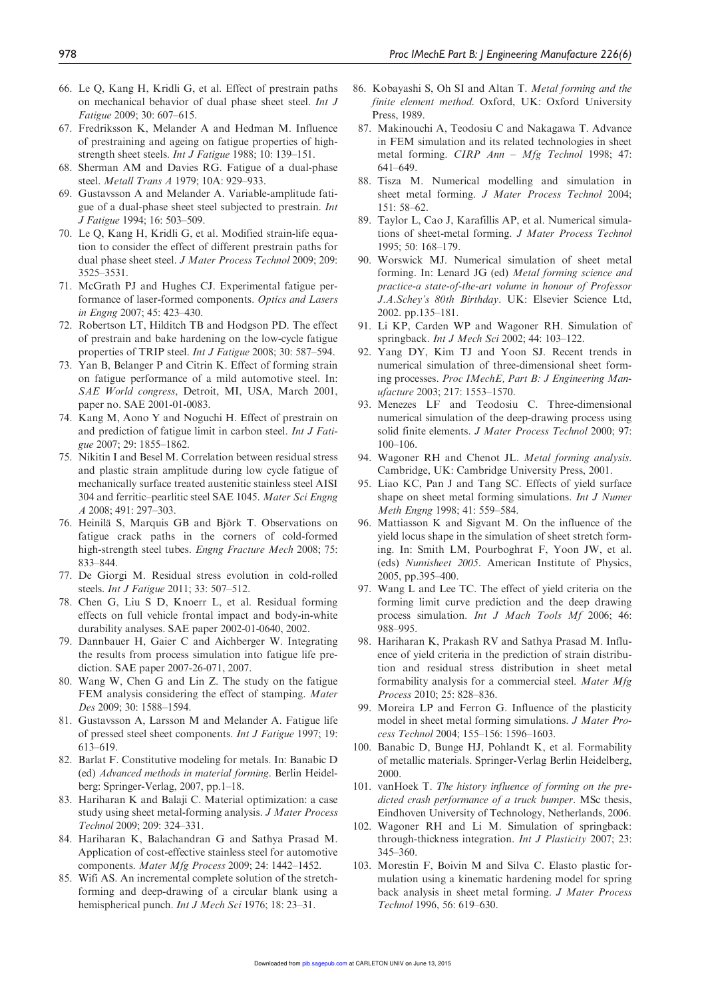- 66. Le Q, Kang H, Kridli G, et al. Effect of prestrain paths on mechanical behavior of dual phase sheet steel. Int J Fatigue 2009; 30: 607–615.
- 67. Fredriksson K, Melander A and Hedman M. Influence of prestraining and ageing on fatigue properties of highstrength sheet steels. Int J Fatigue 1988; 10: 139–151.
- 68. Sherman AM and Davies RG. Fatigue of a dual-phase steel. Metall Trans A 1979; 10A: 929–933.
- 69. Gustavsson A and Melander A. Variable-amplitude fatigue of a dual-phase sheet steel subjected to prestrain. Int J Fatigue 1994; 16: 503–509.
- 70. Le Q, Kang H, Kridli G, et al. Modified strain-life equation to consider the effect of different prestrain paths for dual phase sheet steel. J Mater Process Technol 2009; 209: 3525–3531.
- 71. McGrath PJ and Hughes CJ. Experimental fatigue performance of laser-formed components. Optics and Lasers in Engng 2007; 45: 423–430.
- 72. Robertson LT, Hilditch TB and Hodgson PD. The effect of prestrain and bake hardening on the low-cycle fatigue properties of TRIP steel. Int J Fatigue 2008; 30: 587–594.
- 73. Yan B, Belanger P and Citrin K. Effect of forming strain on fatigue performance of a mild automotive steel. In: SAE World congress, Detroit, MI, USA, March 2001, paper no. SAE 2001-01-0083.
- 74. Kang M, Aono Y and Noguchi H. Effect of prestrain on and prediction of fatigue limit in carbon steel. Int J Fatigue 2007; 29: 1855–1862.
- 75. Nikitin I and Besel M. Correlation between residual stress and plastic strain amplitude during low cycle fatigue of mechanically surface treated austenitic stainless steel AISI 304 and ferritic–pearlitic steel SAE 1045. Mater Sci Engng A 2008; 491: 297–303.
- 76. Heinilä S, Marquis GB and Björk T. Observations on fatigue crack paths in the corners of cold-formed high-strength steel tubes. Engng Fracture Mech 2008; 75: 833–844.
- 77. De Giorgi M. Residual stress evolution in cold-rolled steels. Int J Fatigue 2011; 33: 507–512.
- 78. Chen G, Liu S D, Knoerr L, et al. Residual forming effects on full vehicle frontal impact and body-in-white durability analyses. SAE paper 2002-01-0640, 2002.
- 79. Dannbauer H, Gaier C and Aichberger W. Integrating the results from process simulation into fatigue life prediction. SAE paper 2007-26-071, 2007.
- 80. Wang W, Chen G and Lin Z. The study on the fatigue FEM analysis considering the effect of stamping. Mater Des 2009; 30: 1588–1594.
- 81. Gustavsson A, Larsson M and Melander A. Fatigue life of pressed steel sheet components. Int J Fatigue 1997; 19: 613–619.
- 82. Barlat F. Constitutive modeling for metals. In: Banabic D (ed) Advanced methods in material forming. Berlin Heidelberg: Springer-Verlag, 2007, pp.1–18.
- 83. Hariharan K and Balaji C. Material optimization: a case study using sheet metal-forming analysis. J Mater Process Technol 2009; 209: 324–331.
- 84. Hariharan K, Balachandran G and Sathya Prasad M. Application of cost-effective stainless steel for automotive components. Mater Mfg Process 2009; 24: 1442–1452.
- 85. Wifi AS. An incremental complete solution of the stretchforming and deep-drawing of a circular blank using a hemispherical punch. Int J Mech Sci 1976; 18: 23–31.
- 86. Kobayashi S, Oh SI and Altan T. Metal forming and the finite element method. Oxford, UK: Oxford University Press, 1989.
- 87. Makinouchi A, Teodosiu C and Nakagawa T. Advance in FEM simulation and its related technologies in sheet metal forming. CIRP Ann – Mfg Technol 1998; 47: 641–649.
- 88. Tisza M. Numerical modelling and simulation in sheet metal forming. J Mater Process Technol 2004; 151: 58–62.
- 89. Taylor L, Cao J, Karafillis AP, et al. Numerical simulations of sheet-metal forming. J Mater Process Technol  $1995: 50: 168 - 179$
- 90. Worswick MJ. Numerical simulation of sheet metal forming. In: Lenard JG (ed) Metal forming science and practice-a state-of-the-art volume in honour of Professor J.A.Schey's 80th Birthday. UK: Elsevier Science Ltd, 2002. pp.135–181.
- 91. Li KP, Carden WP and Wagoner RH. Simulation of springback. Int J Mech Sci 2002; 44: 103–122.
- 92. Yang DY, Kim TJ and Yoon SJ. Recent trends in numerical simulation of three-dimensional sheet forming processes. Proc IMechE, Part B: J Engineering Manufacture 2003; 217: 1553–1570.
- 93. Menezes LF and Teodosiu C. Three-dimensional numerical simulation of the deep-drawing process using solid finite elements. J Mater Process Technol 2000; 97: 100–106.
- 94. Wagoner RH and Chenot JL. Metal forming analysis. Cambridge, UK: Cambridge University Press, 2001.
- 95. Liao KC, Pan J and Tang SC. Effects of yield surface shape on sheet metal forming simulations. Int J Numer Meth Engng 1998; 41: 559–584.
- 96. Mattiasson K and Sigvant M. On the influence of the yield locus shape in the simulation of sheet stretch forming. In: Smith LM, Pourboghrat F, Yoon JW, et al. (eds) Numisheet 2005. American Institute of Physics, 2005, pp.395–400.
- 97. Wang L and Lee TC. The effect of yield criteria on the forming limit curve prediction and the deep drawing process simulation. Int J Mach Tools Mf 2006; 46: 988–995.
- 98. Hariharan K, Prakash RV and Sathya Prasad M. Influence of yield criteria in the prediction of strain distribution and residual stress distribution in sheet metal formability analysis for a commercial steel. Mater Mfg Process 2010; 25: 828–836.
- 99. Moreira LP and Ferron G. Influence of the plasticity model in sheet metal forming simulations. J Mater Process Technol 2004; 155–156: 1596–1603.
- 100. Banabic D, Bunge HJ, Pohlandt K, et al. Formability of metallic materials. Springer-Verlag Berlin Heidelberg, 2000.
- 101. vanHoek T. The history influence of forming on the predicted crash performance of a truck bumper. MSc thesis, Eindhoven University of Technology, Netherlands, 2006.
- 102. Wagoner RH and Li M. Simulation of springback: through-thickness integration. Int J Plasticity 2007; 23: 345–360.
- 103. Morestin F, Boivin M and Silva C. Elasto plastic formulation using a kinematic hardening model for spring back analysis in sheet metal forming. J Mater Process Technol 1996, 56: 619–630.